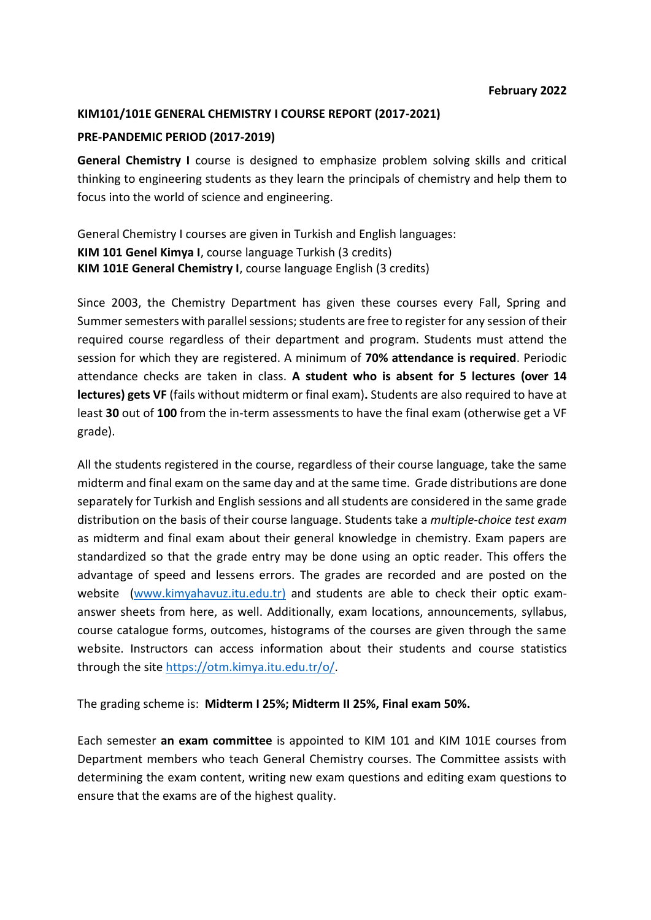### **KIM101/101E GENERAL CHEMISTRY I COURSE REPORT (2017-2021)**

### **PRE-PANDEMIC PERIOD (2017-2019)**

**General Chemistry I** course is designed to emphasize problem solving skills and critical thinking to engineering students as they learn the principals of chemistry and help them to focus into the world of science and engineering.

General Chemistry I courses are given in Turkish and English languages: **KIM 101 Genel Kimya I**, course language Turkish (3 credits) **KIM 101E General Chemistry I**, course language English (3 credits)

Since 2003, the Chemistry Department has given these courses every Fall, Spring and Summer semesters with parallel sessions; students are free to register for any session of their required course regardless of their department and program. Students must attend the session for which they are registered. A minimum of **70% attendance is required**. Periodic attendance checks are taken in class. **A student who is absent for 5 lectures (over 14 lectures) gets VF** (fails without midterm or final exam)**.** Students are also required to have at least **30** out of **100** from the in-term assessments to have the final exam (otherwise get a VF grade).

All the students registered in the course, regardless of their course language, take the same midterm and final exam on the same day and at the same time. Grade distributions are done separately for Turkish and English sessions and all students are considered in the same grade distribution on the basis of their course language. Students take a *multiple-choice test exam*  as midterm and final exam about their general knowledge in chemistry. Exam papers are standardized so that the grade entry may be done using an optic reader. This offers the advantage of speed and lessens errors. The grades are recorded and are posted on the website (www.kimyahavuz.itu.edu.tr) and students are able to check their optic examanswer sheets from here, as well. Additionally, exam locations, announcements, syllabus, course catalogue forms, outcomes, histograms of the courses are given through the same website. Instructors can access information about their students and course statistics through the site [https://otm.kimya.itu.edu.tr/o/.](https://otm.kimya.itu.edu.tr/o/)

The grading scheme is: **Midterm I 25%; Midterm II 25%, Final exam 50%.**

Each semester **an exam committee** is appointed to KIM 101 and KIM 101E courses from Department members who teach General Chemistry courses. The Committee assists with determining the exam content, writing new exam questions and editing exam questions to ensure that the exams are of the highest quality.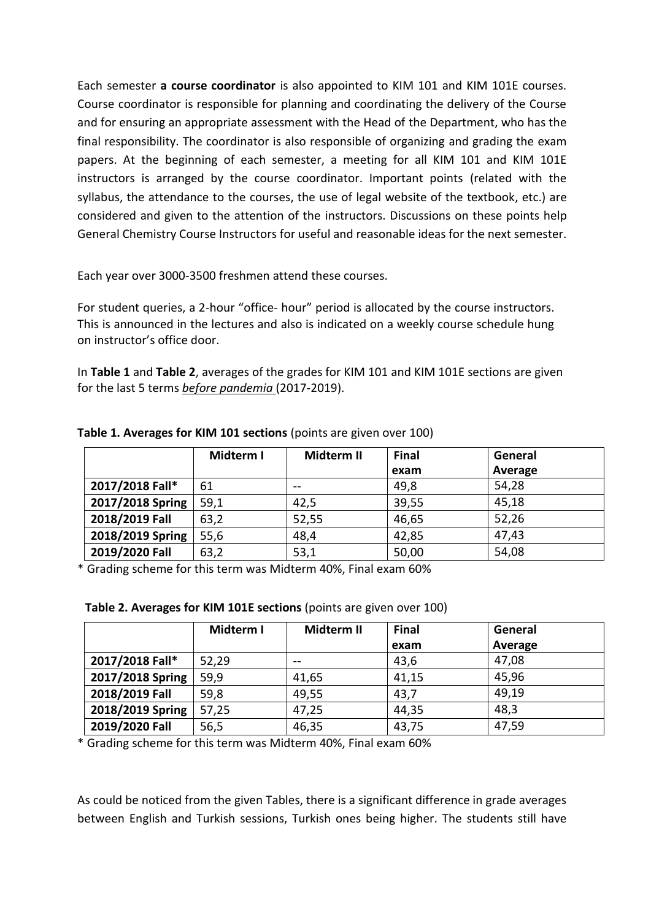Each semester **a course coordinator** is also appointed to KIM 101 and KIM 101E courses. Course coordinator is responsible for planning and coordinating the delivery of the Course and for ensuring an appropriate assessment with the Head of the Department, who has the final responsibility. The coordinator is also responsible of organizing and grading the exam papers. At the beginning of each semester, a meeting for all KIM 101 and KIM 101E instructors is arranged by the course coordinator. Important points (related with the syllabus, the attendance to the courses, the use of legal website of the textbook, etc.) are considered and given to the attention of the instructors. Discussions on these points help General Chemistry Course Instructors for useful and reasonable ideas for the next semester.

Each year over 3000-3500 freshmen attend these courses.

For student queries, a 2-hour "office- hour" period is allocated by the course instructors. This is announced in the lectures and also is indicated on a weekly course schedule hung on instructor's office door.

In **Table 1** and **Table 2**, averages of the grades for KIM 101 and KIM 101E sections are given for the last 5 terms *before pandemia* (2017-2019).

|                  | Midterm I | Midterm II | <b>Final</b> | General |
|------------------|-----------|------------|--------------|---------|
|                  |           |            | exam         | Average |
| 2017/2018 Fall*  | 61        |            | 49,8         | 54,28   |
| 2017/2018 Spring | 59,1      | 42,5       | 39,55        | 45,18   |
| 2018/2019 Fall   | 63,2      | 52,55      | 46,65        | 52,26   |
| 2018/2019 Spring | 55,6      | 48,4       | 42,85        | 47,43   |
| 2019/2020 Fall   | 63,2      | 53,1       | 50,00        | 54,08   |

**Table 1. Averages for KIM 101 sections** (points are given over 100)

\* Grading scheme for this term was Midterm 40%, Final exam 60%

| Table 2. Averages for KIM 101E sections (points are given over 100) |  |
|---------------------------------------------------------------------|--|
|---------------------------------------------------------------------|--|

|                  | Midterm I | Midterm II | <b>Final</b> | General |
|------------------|-----------|------------|--------------|---------|
|                  |           |            | exam         | Average |
| 2017/2018 Fall*  | 52,29     | $- -$      | 43,6         | 47,08   |
| 2017/2018 Spring | 59,9      | 41,65      | 41,15        | 45,96   |
| 2018/2019 Fall   | 59,8      | 49,55      | 43,7         | 49,19   |
| 2018/2019 Spring | 57,25     | 47,25      | 44,35        | 48,3    |
| 2019/2020 Fall   | 56,5      | 46,35      | 43,75        | 47,59   |

\* Grading scheme for this term was Midterm 40%, Final exam 60%

As could be noticed from the given Tables, there is a significant difference in grade averages between English and Turkish sessions, Turkish ones being higher. The students still have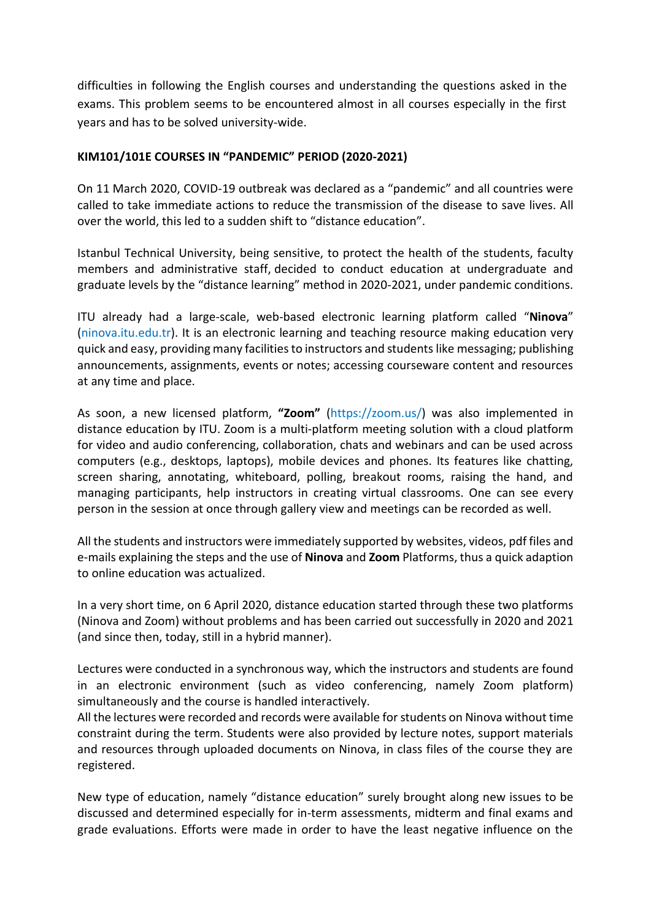difficulties in following the English courses and understanding the questions asked in the exams. This problem seems to be encountered almost in all courses especially in the first years and has to be solved university-wide.

# **KIM101/101E COURSES IN "PANDEMIC" PERIOD (2020-2021)**

On 11 March 2020, COVID-19 outbreak was declared as a "pandemic" and all countries were called to take immediate actions to reduce the transmission of the disease to save lives. All over the world, this led to a sudden shift to "distance education".

Istanbul Technical University, being sensitive, to protect the health of the students, faculty members and administrative staff, decided to conduct education at undergraduate and graduate levels by the "distance learning" method in 2020-2021, under pandemic conditions.

ITU already had a large-scale, web-based electronic learning platform called "**Ninova**" (ninova.itu.edu.tr). It is an electronic learning and teaching resource making education very quick and easy, providing many facilities to instructors and students like messaging; publishing announcements, assignments, events or notes; accessing courseware content and resources at any time and place.

As soon, a new licensed platform, **"Zoom"** (https://zoom.us/) was also implemented in distance education by ITU. Zoom is a multi-platform meeting solution with a cloud platform for video and audio conferencing, collaboration, chats and webinars and can be used across computers (e.g., desktops, laptops), mobile devices and phones. Its features like chatting, screen sharing, annotating, whiteboard, polling, breakout rooms, raising the hand, and managing participants, help instructors in creating virtual classrooms. One can see every person in the session at once through gallery view and meetings can be recorded as well.

All the students and instructors were immediately supported by websites, videos, pdf files and e-mails explaining the steps and the use of **Ninova** and **Zoom** Platforms, thus a quick adaption to online education was actualized.

In a very short time, on 6 April 2020, distance education started through these two platforms (Ninova and Zoom) without problems and has been carried out successfully in 2020 and 2021 (and since then, today, still in a hybrid manner).

Lectures were conducted in a synchronous way, which the instructors and students are found in an electronic environment (such as video conferencing, namely Zoom platform) simultaneously and the course is handled interactively.

All the lectures were recorded and records were available for students on Ninova without time constraint during the term. Students were also provided by lecture notes, support materials and resources through uploaded documents on Ninova, in class files of the course they are registered.

New type of education, namely "distance education" surely brought along new issues to be discussed and determined especially for in-term assessments, midterm and final exams and grade evaluations. Efforts were made in order to have the least negative influence on the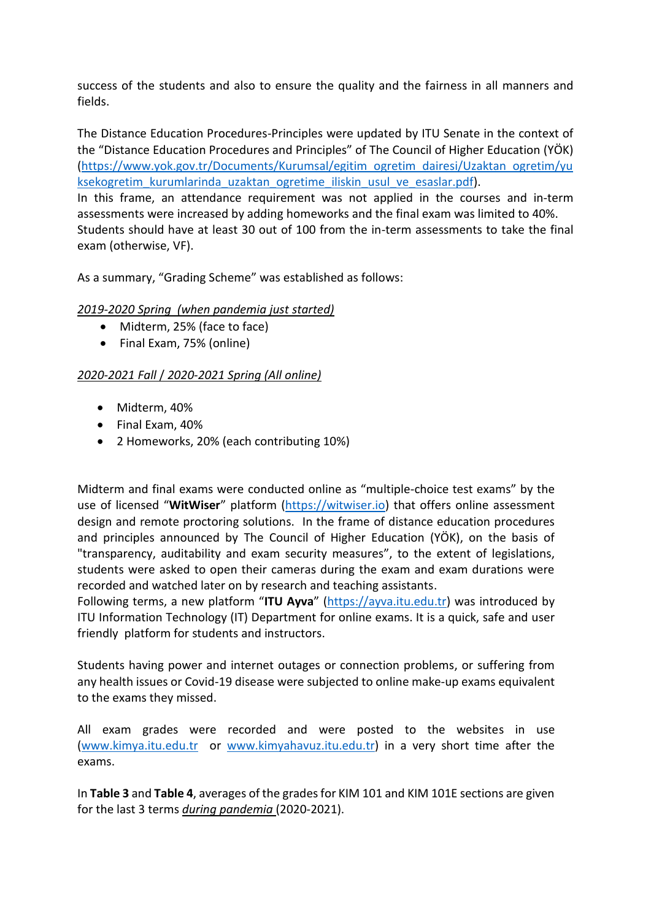success of the students and also to ensure the quality and the fairness in all manners and fields.

The Distance Education Procedures-Principles were updated by ITU Senate in the context of the "Distance Education Procedures and Principles" of The Council of Higher Education (YÖK) [\(https://www.yok.gov.tr/Documents/Kurumsal/egitim\\_ogretim\\_dairesi/Uzaktan\\_ogretim/yu](https://www.yok.gov.tr/Documents/Kurumsal/egitim_ogretim_dairesi/Uzaktan_ogretim/yuksekogretim_kurumlarinda_uzaktan_ogretime_iliskin_usul_ve_esaslar.pdf) ksekogretim kurumlarinda uzaktan ogretime iliskin usul ve esaslar.pdf).

In this frame, an attendance requirement was not applied in the courses and in-term assessments were increased by adding homeworks and the final exam was limited to 40%. Students should have at least 30 out of 100 from the in-term assessments to take the final exam (otherwise, VF).

As a summary, "Grading Scheme" was established as follows:

# *2019-2020 Spring (when pandemia just started)*

- Midterm, 25% (face to face)
- Final Exam, 75% (online)

## *2020-2021 Fall* / *2020-2021 Spring (All online)*

- Midterm, 40%
- Final Exam, 40%
- 2 Homeworks, 20% (each contributing 10%)

Midterm and final exams were conducted online as "multiple-choice test exams" by the use of licensed "**WitWiser**" platform [\(https://witwiser.io\)](https://witwiser.io/) that offers online assessment design and remote proctoring solutions. In the frame of distance education procedures and principles announced by The Council of Higher Education (YÖK), on the basis of "transparency, auditability and exam security measures", to the extent of legislations, students were asked to open their cameras during the exam and exam durations were recorded and watched later on by research and teaching assistants.

Following terms, a new platform "**ITU Ayva**" ([https://ayva.itu.edu.tr\)](https://ayva.itu.edu.tr/) was introduced by ITU Information Technology (IT) Department for online exams. It is a quick, safe and user friendly platform for students and instructors.

Students having power and internet outages or connection problems, or suffering from any health issues or Covid-19 disease were subjected to online make-up exams equivalent to the exams they missed.

All exam grades were recorded and were posted to the websites in use [\(www.kimya.itu.edu.tr](http://www.kimya.itu.edu.tr/) or www.kimyahavuz.itu.edu.t[r\)](http://www.kimya.itu.edu.tr/) in a very short time after the exams.

In **Table 3** and **Table 4**, averages of the grades for KIM 101 and KIM 101E sections are given for the last 3 terms *during pandemia* (2020-2021).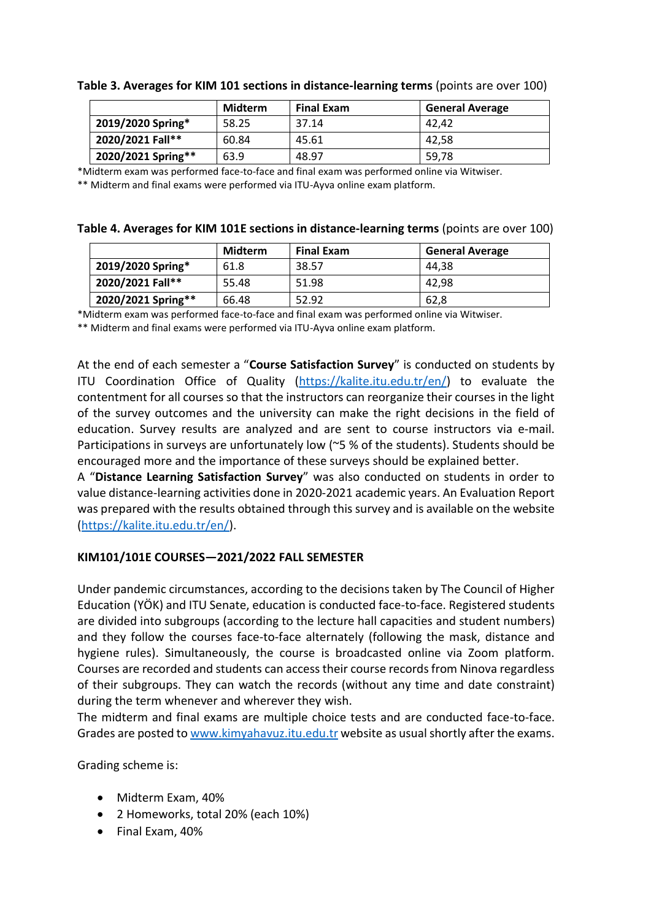|                    | Midterm | <b>Final Exam</b> | <b>General Average</b> |
|--------------------|---------|-------------------|------------------------|
| 2019/2020 Spring*  | 58.25   | 37.14             | 42.42                  |
| 2020/2021 Fall**   | 60.84   | 45.61             | 42.58                  |
| 2020/2021 Spring** | 63.9    | 48.97             | 59,78                  |

**Table 3. Averages for KIM 101 sections in distance-learning terms** (points are over 100)

\*Midterm exam was performed face-to-face and final exam was performed online via Witwiser.

\*\* Midterm and final exams were performed via ITU-Ayva online exam platform.

|  | Table 4. Averages for KIM 101E sections in distance-learning terms (points are over 100) |  |  |
|--|------------------------------------------------------------------------------------------|--|--|
|--|------------------------------------------------------------------------------------------|--|--|

|                    | Midterm | <b>Final Exam</b> | <b>General Average</b> |
|--------------------|---------|-------------------|------------------------|
| 2019/2020 Spring*  | 61.8    | 38.57             | 44.38                  |
| 2020/2021 Fall**   | 55.48   | 51.98             | 42.98                  |
| 2020/2021 Spring** | 66.48   | 52.92             | 62,8                   |

\*Midterm exam was performed face-to-face and final exam was performed online via Witwiser.

\*\* Midterm and final exams were performed via ITU-Ayva online exam platform.

At the end of each semester a "**Course Satisfaction Survey**" is conducted on students by ITU Coordination Office of Quality [\(https://kalite.itu.edu.tr/en/\)](https://kalite.itu.edu.tr/en/) to evaluate the contentment for all courses so that the instructors can reorganize their courses in the light of the survey outcomes and the university can make the right decisions in the field of education. Survey results are analyzed and are sent to course instructors via e-mail. Participations in surveys are unfortunately low (~5 % of the students). Students should be encouraged more and the importance of these surveys should be explained better.

A "**Distance Learning Satisfaction Survey**" was also conducted on students in order to value distance-learning activities done in 2020-2021 academic years. An Evaluation Report was prepared with the results obtained through this survey and is available on the website [\(https://kalite.itu.edu.tr/en/\)](https://kalite.itu.edu.tr/en/).

#### **KIM101/101E COURSES—2021/2022 FALL SEMESTER**

Under pandemic circumstances, according to the decisions taken by The Council of Higher Education (YÖK) and ITU Senate, education is conducted face-to-face. Registered students are divided into subgroups (according to the lecture hall capacities and student numbers) and they follow the courses face-to-face alternately (following the mask, distance and hygiene rules). Simultaneously, the course is broadcasted online via Zoom platform. Courses are recorded and students can access their course records from Ninova regardless of their subgroups. They can watch the records (without any time and date constraint) during the term whenever and wherever they wish.

The midterm and final exams are multiple choice tests and are conducted face-to-face. Grades are posted to [www.kimyahavuz.itu.edu.tr](http://www.kimyahavuz.itu.edu.tr/) website as usual shortly after the exams.

Grading scheme is:

- Midterm Exam, 40%
- 2 Homeworks, total 20% (each 10%)
- Final Exam, 40%